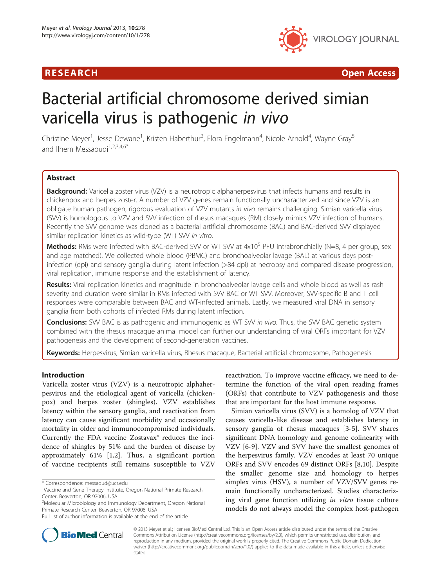## R E S EAR CH Open Access



# Bacterial artificial chromosome derived simian varicella virus is pathogenic in vivo

Christine Meyer<sup>1</sup>, Jesse Dewane<sup>1</sup>, Kristen Haberthur<sup>2</sup>, Flora Engelmann<sup>4</sup>, Nicole Arnold<sup>4</sup>, Wayne Gray<sup>5</sup> and Ilhem Messaoudi $1,2,3,4,6$ <sup>\*</sup>

## **Abstract**

Background: Varicella zoster virus (VZV) is a neurotropic alphaherpesvirus that infects humans and results in chickenpox and herpes zoster. A number of VZV genes remain functionally uncharacterized and since VZV is an obligate human pathogen, rigorous evaluation of VZV mutants in vivo remains challenging. Simian varicella virus (SVV) is homologous to VZV and SVV infection of rhesus macaques (RM) closely mimics VZV infection of humans. Recently the SVV genome was cloned as a bacterial artificial chromosome (BAC) and BAC-derived SVV displayed similar replication kinetics as wild-type (WT) SVV in vitro.

**Methods:** RMs were infected with BAC-derived SVV or WT SVV at  $4x10^5$  PFU intrabronchially (N=8, 4 per group, sex and age matched). We collected whole blood (PBMC) and bronchoalveolar lavage (BAL) at various days postinfection (dpi) and sensory ganglia during latent infection (>84 dpi) at necropsy and compared disease progression, viral replication, immune response and the establishment of latency.

Results: Viral replication kinetics and magnitude in bronchoalveolar lavage cells and whole blood as well as rash severity and duration were similar in RMs infected with SVV BAC or WT SVV. Moreover, SVV-specific B and T cell responses were comparable between BAC and WT-infected animals. Lastly, we measured viral DNA in sensory ganglia from both cohorts of infected RMs during latent infection.

**Conclusions:** SVV BAC is as pathogenic and immunogenic as WT SW in vivo. Thus, the SVV BAC genetic system combined with the rhesus macaque animal model can further our understanding of viral ORFs important for VZV pathogenesis and the development of second-generation vaccines.

Keywords: Herpesvirus, Simian varicella virus, Rhesus macaque, Bacterial artificial chromosome, Pathogenesis

## Introduction

Varicella zoster virus (VZV) is a neurotropic alphaherpesvirus and the etiological agent of varicella (chickenpox) and herpes zoster (shingles). VZV establishes latency within the sensory ganglia, and reactivation from latency can cause significant morbidity and occasionally mortality in older and immunocompromised individuals. Currently the FDA vaccine Zostavax® reduces the incidence of shingles by 51% and the burden of disease by approximately 61% [[1](#page-10-0),[2\]](#page-10-0). Thus, a significant portion of vaccine recipients still remains susceptible to VZV

<sup>2</sup>Molecular Microbiology and Immunology Department, Oregon National Primate Research Center, Beaverton, OR 97006, USA

reactivation. To improve vaccine efficacy, we need to determine the function of the viral open reading frames (ORFs) that contribute to VZV pathogenesis and those that are important for the host immune response.

Simian varicella virus (SVV) is a homolog of VZV that causes varicella-like disease and establishes latency in sensory ganglia of rhesus macaques [[3-5\]](#page-10-0). SVV shares significant DNA homology and genome colinearity with VZV [\[6](#page-10-0)-[9\]](#page-10-0). VZV and SVV have the smallest genomes of the herpesvirus family. VZV encodes at least 70 unique ORFs and SVV encodes 69 distinct ORFs [\[8,10](#page-10-0)]. Despite the smaller genome size and homology to herpes simplex virus (HSV), a number of VZV/SVV genes remain functionally uncharacterized. Studies characterizing viral gene function utilizing in vitro tissue culture models do not always model the complex host-pathogen



© 2013 Meyer et al.; licensee BioMed Central Ltd. This is an Open Access article distributed under the terms of the Creative Commons Attribution License [\(http://creativecommons.org/licenses/by/2.0\)](http://creativecommons.org/licenses/by/2.0), which permits unrestricted use, distribution, and reproduction in any medium, provided the original work is properly cited. The Creative Commons Public Domain Dedication waiver [\(http://creativecommons.org/publicdomain/zero/1.0/\)](http://creativecommons.org/publicdomain/zero/1.0/) applies to the data made available in this article, unless otherwise stated.

<sup>\*</sup> Correspondence: [messaoud@ucr.edu](mailto:messaoud@ucr.edu) <sup>1</sup>

<sup>&</sup>lt;sup>1</sup>Vaccine and Gene Therapy Institute, Oregon National Primate Research Center, Beaverton, OR 97006, USA

Full list of author information is available at the end of the article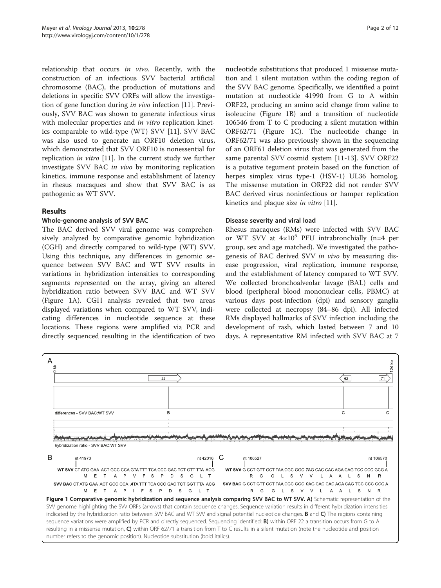<span id="page-1-0"></span>relationship that occurs in vivo. Recently, with the construction of an infectious SVV bacterial artificial chromosome (BAC), the production of mutations and deletions in specific SVV ORFs will allow the investigation of gene function during in vivo infection [\[11\]](#page-10-0). Previously, SVV BAC was shown to generate infectious virus with molecular properties and in vitro replication kinetics comparable to wild-type (WT) SVV [[11](#page-10-0)]. SVV BAC was also used to generate an ORF10 deletion virus, which demonstrated that SVV ORF10 is nonessential for replication in vitro [[11\]](#page-10-0). In the current study we further investigate SVV BAC in vivo by monitoring replication kinetics, immune response and establishment of latency in rhesus macaques and show that SVV BAC is as pathogenic as WT SVV.

## Results

## Whole-genome analysis of SVV BAC

The BAC derived SVV viral genome was comprehensively analyzed by comparative genomic hybridization (CGH) and directly compared to wild-type (WT) SVV. Using this technique, any differences in genomic sequence between SVV BAC and WT SVV results in variations in hybridization intensities to corresponding segments represented on the array, giving an altered hybridization ratio between SVV BAC and WT SVV (Figure 1A). CGH analysis revealed that two areas displayed variations when compared to WT SVV, indicating differences in nucleotide sequence at these locations. These regions were amplified via PCR and directly sequenced resulting in the identification of two

nucleotide substitutions that produced 1 missense mutation and 1 silent mutation within the coding region of the SVV BAC genome. Specifically, we identified a point mutation at nucleotide 41990 from G to A within ORF22, producing an amino acid change from valine to isoleucine (Figure 1B) and a transition of nucleotide 106546 from T to C producing a silent mutation within ORF62/71 (Figure 1C). The nucleotide change in ORF62/71 was also previously shown in the sequencing of an ORF61 deletion virus that was generated from the same parental SVV cosmid system [\[11](#page-10-0)-[13\]](#page-10-0). SVV ORF22 is a putative tegument protein based on the function of herpes simplex virus type-1 (HSV-1) UL36 homolog. The missense mutation in ORF22 did not render SVV BAC derived virus noninfectious or hamper replication kinetics and plaque size in vitro [[11](#page-10-0)].

## Disease severity and viral load

Rhesus macaques (RMs) were infected with SVV BAC or WT SVV at  $4\times10^5$  PFU intrabronchially (n=4 per group, sex and age matched). We investigated the pathogenesis of BAC derived SVV in vivo by measuring disease progression, viral replication, immune response, and the establishment of latency compared to WT SVV. We collected bronchoalveolar lavage (BAL) cells and blood (peripheral blood mononuclear cells, PBMC) at various days post-infection (dpi) and sensory ganglia were collected at necropsy (84–86 dpi). All infected RMs displayed hallmarks of SVV infection including the development of rash, which lasted between 7 and 10 days. A representative RM infected with SVV BAC at 7

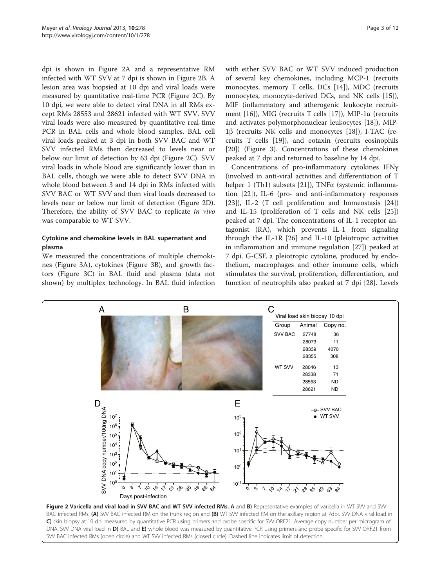<span id="page-2-0"></span>dpi is shown in Figure 2A and a representative RM infected with WT SVV at 7 dpi is shown in Figure 2B. A lesion area was biopsied at 10 dpi and viral loads were measured by quantitative real-time PCR (Figure 2C). By 10 dpi, we were able to detect viral DNA in all RMs except RMs 28553 and 28621 infected with WT SVV. SVV viral loads were also measured by quantitative real-time PCR in BAL cells and whole blood samples. BAL cell viral loads peaked at 3 dpi in both SVV BAC and WT SVV infected RMs then decreased to levels near or below our limit of detection by 63 dpi (Figure 2C). SVV viral loads in whole blood are significantly lower than in BAL cells, though we were able to detect SVV DNA in whole blood between 3 and 14 dpi in RMs infected with SVV BAC or WT SVV and then viral loads decreased to levels near or below our limit of detection (Figure 2D). Therefore, the ability of SVV BAC to replicate in vivo was comparable to WT SVV.

## Cytokine and chemokine levels in BAL supernatant and plasma

We measured the concentrations of multiple chemokines (Figure [3](#page-3-0)A), cytokines (Figure [3](#page-3-0)B), and growth factors (Figure [3C](#page-3-0)) in BAL fluid and plasma (data not shown) by multiplex technology. In BAL fluid infection with either SVV BAC or WT SVV induced production of several key chemokines, including MCP-1 (recruits monocytes, memory T cells, DCs [[14\]](#page-10-0)), MDC (recruits monocytes, monocyte-derived DCs, and NK cells [\[15](#page-10-0)]), MIF (inflammatory and atherogenic leukocyte recruitment [\[16](#page-10-0)]), MIG (recruits T cells [[17](#page-10-0)]), MIP-1α (recruits and activates polymorphonuclear leukocytes [\[18\]](#page-10-0)), MIP-1β (recruits NK cells and monocytes [\[18](#page-10-0)]), I-TAC (recruits T cells [[19](#page-10-0)]), and eotaxin (recruits eosinophils [[20\]](#page-10-0)) (Figure [3\)](#page-3-0). Concentrations of these chemokines peaked at 7 dpi and returned to baseline by 14 dpi.

Concentrations of pro-inflammatory cytokines IFNγ (involved in anti-viral activities and differentiation of T helper 1 (Th1) subsets [\[21](#page-10-0)]), TNFα (systemic inflammation [\[22\]](#page-10-0)), IL-6 (pro- and anti-inflammatory responses [[23\]](#page-10-0)), IL-2 (T cell proliferation and homeostasis [\[24](#page-10-0)]) and IL-15 (proliferation of T cells and NK cells [\[25](#page-10-0)]) peaked at 7 dpi. The concentrations of IL-1 receptor antagonist (RA), which prevents IL-1 from signaling through the IL-1R [\[26\]](#page-10-0) and IL-10 (pleiotropic activities in inflammation and immune regulation [\[27\]](#page-10-0)) peaked at 7 dpi. G-CSF, a pleiotropic cytokine, produced by endothelium, macrophages and other immune cells, which stimulates the survival, proliferation, differentiation, and function of neutrophils also peaked at 7 dpi [[28](#page-10-0)]. Levels



SVV BAC infected RMs (open circle) and WT SVV infected RMs (closed circle). Dashed line indicates limit of detection.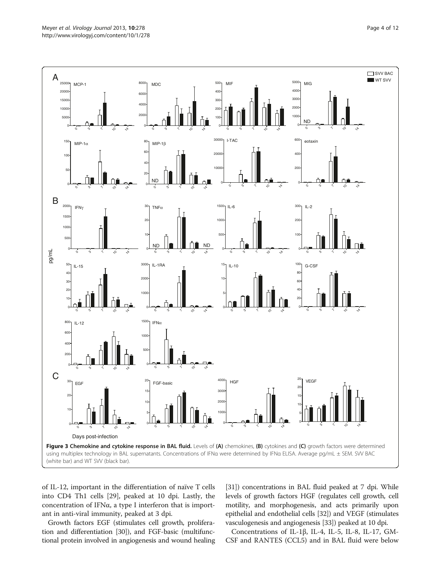<span id="page-3-0"></span>

of IL-12, important in the differentiation of naïve T cells into CD4 Th1 cells [[29](#page-10-0)], peaked at 10 dpi. Lastly, the concentration of IFNα, a type I interferon that is important in anti-viral immunity, peaked at 3 dpi.

Growth factors EGF (stimulates cell growth, proliferation and differentiation [\[30](#page-10-0)]), and FGF-basic (multifunctional protein involved in angiogenesis and wound healing

[[31](#page-10-0)]) concentrations in BAL fluid peaked at 7 dpi. While levels of growth factors HGF (regulates cell growth, cell motility, and morphogenesis, and acts primarily upon epithelial and endothelial cells [[32](#page-10-0)]) and VEGF (stimulates vasculogenesis and angiogenesis [\[33\]](#page-10-0)) peaked at 10 dpi.

Concentrations of IL-1β, IL-4, IL-5, IL-8, IL-17, GM-CSF and RANTES (CCL5) and in BAL fluid were below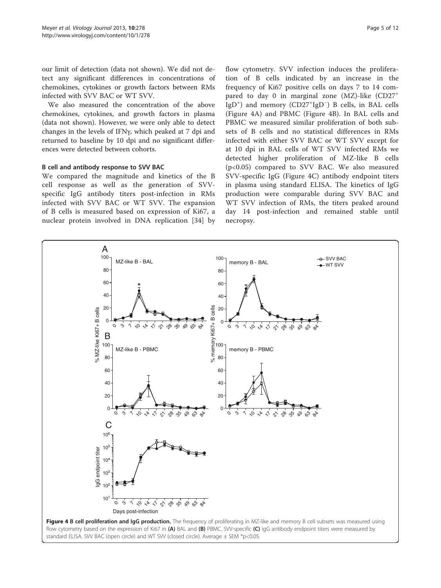<span id="page-4-0"></span>our limit of detection (data not shown). We did not detect any significant differences in concentrations of chemokines, cytokines or growth factors between RMs infected with SVV BAC or WT SVV.

We also measured the concentration of the above chemokines, cytokines, and growth factors in plasma (data not shown). However, we were only able to detect changes in the levels of IFNγ, which peaked at 7 dpi and returned to baseline by 10 dpi and no significant differences were detected between cohorts.

#### B cell and antibody response to SVV BAC

We compared the magnitude and kinetics of the B cell response as well as the generation of SVVspecific IgG antibody titers post-infection in RMs infected with SVV BAC or WT SVV. The expansion of B cells is measured based on expression of Ki67, a nuclear protein involved in DNA replication [\[34](#page-10-0)] by

flow cytometry. SVV infection induces the proliferation of B cells indicated by an increase in the frequency of Ki67 positive cells on days 7 to 14 compared to day 0 in marginal zone (MZ)-like (CD27<sup>+</sup> IgD<sup>+</sup>) and memory (CD27<sup>+</sup>IgD<sup>-</sup>) B cells, in BAL cells (Figure 4A) and PBMC (Figure 4B). In BAL cells and PBMC we measured similar proliferation of both subsets of B cells and no statistical differences in RMs infected with either SVV BAC or WT SVV except for at 10 dpi in BAL cells of WT SVV infected RMs we detected higher proliferation of MZ-like B cells (p<0.05) compared to SVV BAC. We also measured SVV-specific IgG (Figure 4C) antibody endpoint titers in plasma using standard ELISA. The kinetics of IgG production were comparable during SVV BAC and WT SVV infection of RMs, the titers peaked around day 14 post-infection and remained stable until necropsy.

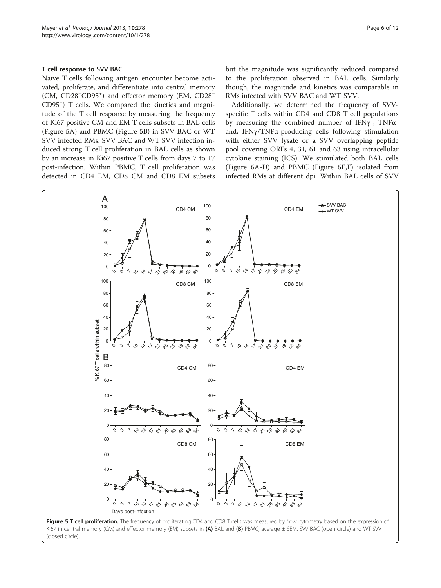#### <span id="page-5-0"></span>T cell response to SVV BAC

Naïve T cells following antigen encounter become activated, proliferate, and differentiate into central memory (CM, CD28<sup>+</sup> CD95<sup>+</sup> ) and effector memory (EM, CD28<sup>−</sup> CD95<sup>+</sup> ) T cells. We compared the kinetics and magnitude of the T cell response by measuring the frequency of Ki67 positive CM and EM T cells subsets in BAL cells (Figure 5A) and PBMC (Figure 5B) in SVV BAC or WT SVV infected RMs. SVV BAC and WT SVV infection induced strong T cell proliferation in BAL cells as shown by an increase in Ki67 positive T cells from days 7 to 17 post-infection. Within PBMC, T cell proliferation was detected in CD4 EM, CD8 CM and CD8 EM subsets but the magnitude was significantly reduced compared to the proliferation observed in BAL cells. Similarly though, the magnitude and kinetics was comparable in RMs infected with SVV BAC and WT SVV.

Additionally, we determined the frequency of SVVspecific T cells within CD4 and CD8 T cell populations by measuring the combined number of IFNγ-, TNFαand, IFNγ/TNFα-producing cells following stimulation with either SVV lysate or a SVV overlapping peptide pool covering ORFs 4, 31, 61 and 63 using intracellular cytokine staining (ICS). We stimulated both BAL cells (Figure [6A](#page-6-0)-D) and PBMC (Figure [6](#page-6-0)E,F) isolated from infected RMs at different dpi. Within BAL cells of SVV

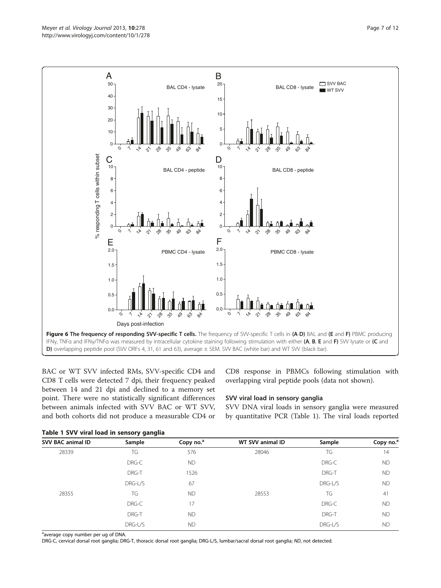<span id="page-6-0"></span>

BAC or WT SVV infected RMs, SVV-specific CD4 and CD8 T cells were detected 7 dpi, their frequency peaked between 14 and 21 dpi and declined to a memory set point. There were no statistically significant differences between animals infected with SVV BAC or WT SVV, and both cohorts did not produce a measurable CD4 or CD8 response in PBMCs following stimulation with overlapping viral peptide pools (data not shown).

## SVV viral load in sensory ganglia

SVV DNA viral loads in sensory ganglia were measured by quantitative PCR (Table 1). The viral loads reported

|  |  |  |  |  | Table 1 SVV viral load in sensory ganglia |  |  |
|--|--|--|--|--|-------------------------------------------|--|--|
|--|--|--|--|--|-------------------------------------------|--|--|

| <b>SVV BAC animal ID</b> | Sample  | Copy no. <sup>a</sup> | WT SVV animal ID | Sample  | Copy no. <sup>a</sup> |
|--------------------------|---------|-----------------------|------------------|---------|-----------------------|
| 28339                    | TG      | 576                   | 28046            | TG      | 14                    |
|                          | DRG-C   | <b>ND</b>             |                  | DRG-C   | <b>ND</b>             |
|                          | DRG-T   | 1526                  |                  | DRG-T   | <b>ND</b>             |
|                          | DRG-L/S | 67                    |                  | DRG-L/S | <b>ND</b>             |
| 28355                    | TG      | <b>ND</b>             | 28553            | TG      | 41                    |
|                          | DRG-C   | 17                    |                  | DRG-C   | <b>ND</b>             |
|                          | DRG-T   | <b>ND</b>             |                  | DRG-T   | <b>ND</b>             |
|                          | DRG-L/S | <b>ND</b>             |                  | DRG-L/S | <b>ND</b>             |

<sup>a</sup>average copy number per ug of DNA.

DRG-C, cervical dorsal root ganglia; DRG-T, thoracic dorsal root ganglia; DRG-L/S, lumbar/sacral dorsal root ganglia; ND, not detected.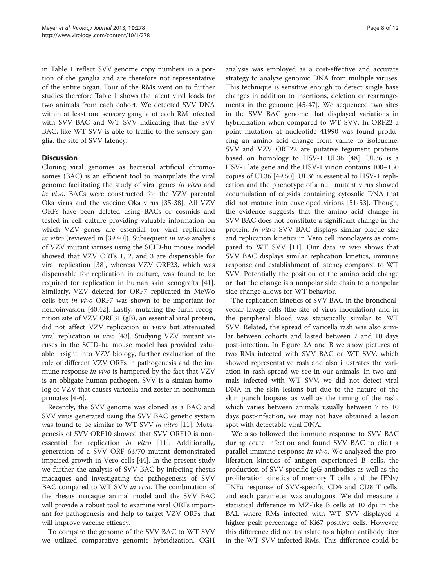in Table [1](#page-6-0) reflect SVV genome copy numbers in a portion of the ganglia and are therefore not representative of the entire organ. Four of the RMs went on to further studies therefore Table [1](#page-6-0) shows the latent viral loads for two animals from each cohort. We detected SVV DNA within at least one sensory ganglia of each RM infected with SVV BAC and WT SVV indicating that the SVV BAC, like WT SVV is able to traffic to the sensory ganglia, the site of SVV latency.

## **Discussion**

Cloning viral genomes as bacterial artificial chromosomes (BAC) is an efficient tool to manipulate the viral genome facilitating the study of viral genes in vitro and in vivo. BACs were constructed for the VZV parental Oka virus and the vaccine Oka virus [\[35](#page-10-0)-[38\]](#page-10-0). All VZV ORFs have been deleted using BACs or cosmids and tested in cell culture providing valuable information on which VZV genes are essential for viral replication in vitro (reviewed in [[39,40](#page-10-0)]). Subsequent in vivo analysis of VZV mutant viruses using the SCID-hu mouse model showed that VZV ORFs 1, 2, and 3 are dispensable for viral replication [\[38\]](#page-10-0), whereas VZV ORF23, which was dispensable for replication in culture, was found to be required for replication in human skin xenografts [\[41](#page-10-0)]. Similarly, VZV deleted for ORF7 replicated in MeWo cells but in vivo ORF7 was shown to be important for neuroinvasion [[40](#page-10-0),[42](#page-10-0)]. Lastly, mutating the furin recognition site of VZV ORF31 (gB), an essential viral protein, did not affect VZV replication in vitro but attenuated viral replication in vivo [\[43](#page-10-0)]. Studying VZV mutant viruses in the SCID-hu mouse model has provided valuable insight into VZV biology, further evaluation of the role of different VZV ORFs in pathogenesis and the immune response *in vivo* is hampered by the fact that VZV is an obligate human pathogen. SVV is a simian homolog of VZV that causes varicella and zoster in nonhuman primates [\[4](#page-10-0)-[6\]](#page-10-0).

Recently, the SVV genome was cloned as a BAC and SVV virus generated using the SVV BAC genetic system was found to be similar to WT SVV in vitro [[11](#page-10-0)]. Mutagenesis of SVV ORF10 showed that SVV ORF10 is nonessential for replication in vitro [\[11](#page-10-0)]. Additionally, generation of a SVV ORF 63/70 mutant demonstrated impaired growth in Vero cells [[44\]](#page-10-0). In the present study we further the analysis of SVV BAC by infecting rhesus macaques and investigating the pathogenesis of SVV BAC compared to WT SVV in vivo. The combination of the rhesus macaque animal model and the SVV BAC will provide a robust tool to examine viral ORFs important for pathogenesis and help to target VZV ORFs that will improve vaccine efficacy.

To compare the genome of the SVV BAC to WT SVV we utilized comparative genomic hybridization. CGH

analysis was employed as a cost-effective and accurate strategy to analyze genomic DNA from multiple viruses. This technique is sensitive enough to detect single base changes in addition to insertions, deletion or rearrangements in the genome [\[45](#page-10-0)-[47](#page-10-0)]. We sequenced two sites in the SVV BAC genome that displayed variations in hybridization when compared to WT SVV. In ORF22 a point mutation at nucleotide 41990 was found producing an amino acid change from valine to isoleucine. SVV and VZV ORF22 are putative tegument proteins based on homology to HSV-1 UL36 [[48](#page-10-0)]. UL36 is a HSV-1 late gene and the HSV-1 virion contains 100–150 copies of UL36 [[49,50](#page-10-0)]. UL36 is essential to HSV-1 replication and the phenotype of a null mutant virus showed accumulation of capsids containing cytosolic DNA that did not mature into enveloped virions [[51-53](#page-10-0)]. Though, the evidence suggests that the amino acid change in SVV BAC does not constitute a significant change in the protein. In vitro SVV BAC displays similar plaque size and replication kinetics in Vero cell monolayers as com-pared to WT SVV [\[11](#page-10-0)]. Our data in vivo shows that SVV BAC displays similar replication kinetics, immune response and establishment of latency compared to WT SVV. Potentially the position of the amino acid change or that the change is a nonpolar side chain to a nonpolar side change allows for WT behavior.

The replication kinetics of SVV BAC in the bronchoalveolar lavage cells (the site of virus inoculation) and in the peripheral blood was statistically similar to WT SVV. Related, the spread of varicella rash was also similar between cohorts and lasted between 7 and 10 days post-infection. In Figure [2A](#page-2-0) and B we show pictures of two RMs infected with SVV BAC or WT SVV, which showed representative rash and also illustrates the variation in rash spread we see in our animals. In two animals infected with WT SVV, we did not detect viral DNA in the skin lesions but due to the nature of the skin punch biopsies as well as the timing of the rash, which varies between animals usually between 7 to 10 days post-infection, we may not have obtained a lesion spot with detectable viral DNA.

We also followed the immune response to SVV BAC during acute infection and found SVV BAC to elicit a parallel immune response in vivo. We analyzed the proliferation kinetics of antigen experienced B cells, the production of SVV-specific IgG antibodies as well as the proliferation kinetics of memory T cells and the IFNγ/ TNFα response of SVV-specific CD4 and CD8 T cells, and each parameter was analogous. We did measure a statistical difference in MZ-like B cells at 10 dpi in the BAL where RMs infected with WT SVV displayed a higher peak percentage of Ki67 positive cells. However, this difference did not translate to a higher antibody titer in the WT SVV infected RMs. This difference could be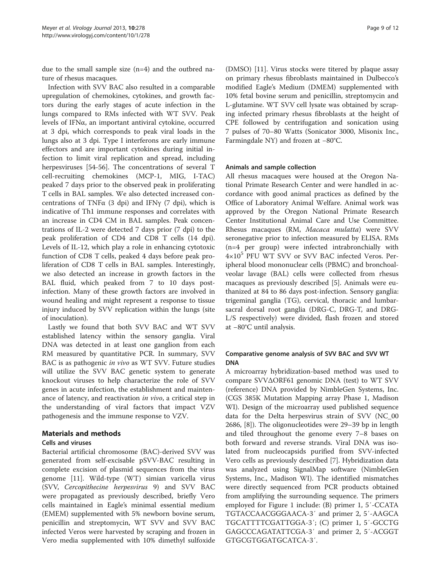due to the small sample size (n=4) and the outbred nature of rhesus macaques.

Infection with SVV BAC also resulted in a comparable upregulation of chemokines, cytokines, and growth factors during the early stages of acute infection in the lungs compared to RMs infected with WT SVV. Peak levels of IFNα, an important antiviral cytokine, occurred at 3 dpi, which corresponds to peak viral loads in the lungs also at 3 dpi. Type I interferons are early immune effectors and are important cytokines during initial infection to limit viral replication and spread, including herpesviruses [\[54](#page-10-0)-[56\]](#page-11-0). The concentrations of several T cell-recruiting chemokines (MCP-1, MIG, I-TAC) peaked 7 days prior to the observed peak in proliferating T cells in BAL samples. We also detected increased concentrations of TNF $\alpha$  (3 dpi) and IFN $\gamma$  (7 dpi), which is indicative of Th1 immune responses and correlates with an increase in CD4 CM in BAL samples. Peak concentrations of IL-2 were detected 7 days prior (7 dpi) to the peak proliferation of CD4 and CD8 T cells (14 dpi). Levels of IL-12, which play a role in enhancing cytotoxic function of CD8 T cells, peaked 4 days before peak proliferation of CD8 T cells in BAL samples. Interestingly, we also detected an increase in growth factors in the BAL fluid, which peaked from 7 to 10 days postinfection. Many of these growth factors are involved in wound healing and might represent a response to tissue injury induced by SVV replication within the lungs (site of inoculation).

Lastly we found that both SVV BAC and WT SVV established latency within the sensory ganglia. Viral DNA was detected in at least one ganglion from each RM measured by quantitative PCR. In summary, SVV BAC is as pathogenic in vivo as WT SVV. Future studies will utilize the SVV BAC genetic system to generate knockout viruses to help characterize the role of SVV genes in acute infection, the establishment and maintenance of latency, and reactivation in vivo, a critical step in the understanding of viral factors that impact VZV pathogenesis and the immune response to VZV.

## Materials and methods

#### Cells and viruses

Bacterial artificial chromosome (BAC)-derived SVV was generated from self-excisable pSVV-BAC resulting in complete excision of plasmid sequences from the virus genome [[11](#page-10-0)]. Wild-type (WT) simian varicella virus (SVV, Cercopithecine herpesvirus 9) and SVV BAC were propagated as previously described, briefly Vero cells maintained in Eagle's minimal essential medium (EMEM) supplemented with 5% newborn bovine serum, penicillin and streptomycin, WT SVV and SVV BAC infected Veros were harvested by scraping and frozen in Vero media supplemented with 10% dimethyl sulfoxide

(DMSO) [[11\]](#page-10-0). Virus stocks were titered by plaque assay on primary rhesus fibroblasts maintained in Dulbecco's modified Eagle's Medium (DMEM) supplemented with 10% fetal bovine serum and penicillin, streptomycin and L-glutamine. WT SVV cell lysate was obtained by scraping infected primary rhesus fibroblasts at the height of CPE followed by centrifugation and sonication using 7 pulses of 70–80 Watts (Sonicator 3000, Misonix Inc., Farmingdale NY) and frozen at −80°C.

#### Animals and sample collection

All rhesus macaques were housed at the Oregon National Primate Research Center and were handled in accordance with good animal practices as defined by the Office of Laboratory Animal Welfare. Animal work was approved by the Oregon National Primate Research Center Institutional Animal Care and Use Committee. Rhesus macaques (RM, Macaca mulatta) were SVV seronegative prior to infection measured by ELISA. RMs (n=4 per group) were infected intrabronchially with 4×10<sup>5</sup> PFU WT SVV or SVV BAC infected Veros. Peripheral blood mononuclear cells (PBMC) and bronchoalveolar lavage (BAL) cells were collected from rhesus macaques as previously described [\[5\]](#page-10-0). Animals were euthanized at 84 to 86 days post-infection. Sensory ganglia: trigeminal ganglia (TG), cervical, thoracic and lumbarsacral dorsal root ganglia (DRG-C, DRG-T, and DRG-L/S respectively) were divided, flash frozen and stored at −80°C until analysis.

## Comparative genome analysis of SVV BAC and SVV WT DNA

A microarray hybridization-based method was used to compare SVVΔORF61 genomic DNA (test) to WT SVV (reference) DNA provided by NimbleGen Systems, Inc. (CGS 385K Mutation Mapping array Phase 1, Madison WI). Design of the microarray used published sequence data for the Delta herpesvirus strain of SVV (NC\_00 2686, [[8\]](#page-10-0)). The oligonucleotides were 29–39 bp in length and tiled throughout the genome every 7–8 bases on both forward and reverse strands. Viral DNA was isolated from nucleocapsids purified from SVV-infected Vero cells as previously described [\[7\]](#page-10-0). Hybridization data was analyzed using SignalMap software (NimbleGen Systems, Inc., Madison WI). The identified mismatches were directly sequenced from PCR products obtained from amplifying the surrounding sequence. The primers employed for Figure [1](#page-1-0) include: (B) primer 1, 5′-CCATA TGTACCAACGGGAACA-3′ and primer 2, 5′-AAGCA TGCATTTTCGATTGGA-3′; (C) primer 1, 5′-GCCTG GAGCCCAGATATTCGA-3′ and primer 2, 5′-ACGGT GTGCGTGGATGCATCA-3′.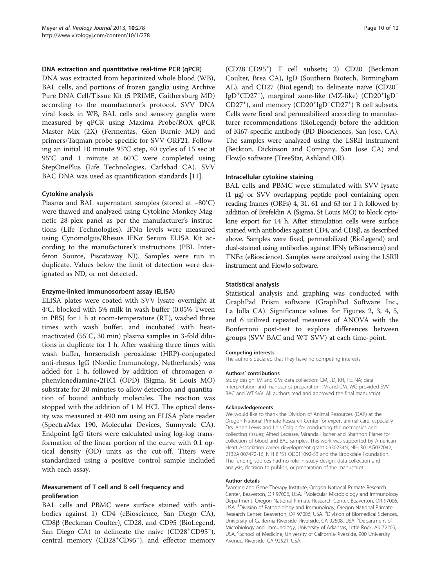#### DNA extraction and quantitative real-time PCR (qPCR)

DNA was extracted from heparinized whole blood (WB), BAL cells, and portions of frozen ganglia using Archive Pure DNA Cell/Tissue Kit (5 PRIME, Gaithersburg MD) according to the manufacturer's protocol. SVV DNA viral loads in WB, BAL cells and sensory ganglia were measured by qPCR using Maxima Probe/ROX qPCR Master Mix (2X) (Fermentas, Glen Burnie MD) and primers/Taqman probe specific for SVV ORF21. Following an initial 10 minute 95°C step, 40 cycles of 15 sec at 95°C and 1 minute at 60°C were completed using StepOnePlus (Life Technologies, Carlsbad CA). SVV BAC DNA was used as quantification standards [\[11\]](#page-10-0).

#### Cytokine analysis

Plasma and BAL supernatant samples (stored at −80°C) were thawed and analyzed using Cytokine Monkey Magnetic 28-plex panel as per the manufacturer's instructions (Life Technologies). IFNα levels were measured using Cynomolgus/Rhesus IFNα Serum ELISA Kit according to the manufacturer's instructions (PBL Interferon Source, Piscataway NJ). Samples were run in duplicate. Values below the limit of detection were designated as ND, or not detected.

#### Enzyme-linked immunosorbent assay (ELISA)

ELISA plates were coated with SVV lysate overnight at 4°C, blocked with 5% milk in wash buffer (0.05% Tween in PBS) for 1 h at room-temperature (RT), washed three times with wash buffer, and incubated with heatinactivated (55°C, 30 min) plasma samples in 3-fold dilutions in duplicate for 1 h. After washing three times with wash buffer, horseradish peroxidase (HRP)-conjugated anti-rhesus IgG (Nordic Immunology, Netherlands) was added for 1 h, followed by addition of chromagen ophenylenediamine•2HCl (OPD) (Sigma, St Louis MO) substrate for 20 minutes to allow detection and quantitation of bound antibody molecules. The reaction was stopped with the addition of 1 M HCl. The optical density was measured at 490 nm using an ELISA plate reader (SpectraMax 190, Molecular Devices, Sunnyvale CA). Endpoint IgG titers were calculated using log-log transformation of the linear portion of the curve with 0.1 optical density (OD) units as the cut-off. Titers were standardized using a positive control sample included with each assay.

#### Measurement of T cell and B cell frequency and proliferation

BAL cells and PBMC were surface stained with antibodies against 1) CD4 (eBioscience, San Diego CA), CD8β (Beckman Coulter), CD28, and CD95 (BioLegend, San Diego CA) to delineate the naive (CD28<sup>+</sup>CD95<sup>-</sup>), central memory (CD28<sup>+</sup>CD95<sup>+</sup>), and effector memory

(CD28<sup>−</sup> CD95+ ) T cell subsets; 2) CD20 (Beckman Coulter, Brea CA), IgD (Southern Biotech, Birmingham AL), and CD27 (BioLegend) to delineate naïve (CD20<sup>+</sup> IgD<sup>+</sup>CD27<sup>-</sup>), marginal zone-like (MZ-like) (CD20<sup>+</sup>IgD<sup>+</sup> CD27<sup>+</sup>), and memory (CD20<sup>+</sup>IgD<sup>-</sup>CD27<sup>+</sup>) B cell subsets. Cells were fixed and permeabilized according to manufacturer recommendations (BioLegend) before the addition of Ki67-specific antibody (BD Biosciences, San Jose, CA). The samples were analyzed using the LSRII instrument (Beckton, Dickinson and Company, San Jose CA) and FlowJo software (TreeStar, Ashland OR).

#### Intracellular cytokine staining

BAL cells and PBMC were stimulated with SVV lysate (1 μg) or SVV overlapping peptide pool containing open reading frames (ORFs) 4, 31, 61 and 63 for 1 h followed by addition of Brefeldin A (Sigma, St Louis MO) to block cytokine export for 14 h. After stimulation cells were surface stained with antibodies against CD4, and CD8β, as described above. Samples were fixed, permeabilized (BioLegend) and dual-stained using antibodies against IFNγ (eBioscience) and TNFα (eBioscience). Samples were analyzed using the LSRII instrument and FlowJo software.

#### Statistical analysis

Statistical analysis and graphing was conducted with GraphPad Prism software (GraphPad Software Inc., La Jolla CA). Significance values for Figures [2](#page-2-0), [3,](#page-3-0) [4](#page-4-0), [5](#page-5-0), and [6](#page-6-0) utilized repeated measures of ANOVA with the Bonferroni post-test to explore differences between groups (SVV BAC and WT SVV) at each time-point.

#### Competing interests

The authors declared that they have no competing interests.

#### Authors' contributions

Study design: IM and CM; data collection: CM, JD, KH, FE, NA; data interpretation and manuscript preparation: IM and CM. WG provided SVV BAC and WT SVV. All authors read and approved the final manuscript.

#### Acknowledgements

We would like to thank the Division of Animal Resources (DAR) at the Oregon National Primate Research Center for expert animal care, especially Drs. Anne Lewis and Lois Colgin for conducting the necropsies and collecting tissues; Alfred Legasse, Miranda Fischer and Shannon Planer for collection of blood and BAL samples. This work was supported by American Heart Association career development grant 0930234N, NIH R01AG037042, 2T32AI007472-16, NIH 8P51 OD011092-53 and the Brookdale Foundation. The funding sources had no role in study design, data collection and analysis, decision to publish, or preparation of the manuscript.

#### Author details

<sup>1</sup>Vaccine and Gene Therapy Institute, Oregon National Primate Research Center, Beaverton, OR 97006, USA. <sup>2</sup>Molecular Microbiology and Immunology Department, Oregon National Primate Research Center, Beaverton, OR 97006, USA. <sup>3</sup> Division of Pathobiology and Immunology, Oregon National Primate Research Center, Beaverton, OR 97006, USA. <sup>4</sup> Division of Biomedical Sciences, University of California-Riverside, Riverside, CA 92508, USA. <sup>5</sup>Department of Microbiology and Immunology, University of Arkansas, Little Rock, AK 72205, USA. <sup>6</sup>School of Medicine, University of California-Riverside, 900 University Avenue, Riverside, CA 92521, USA.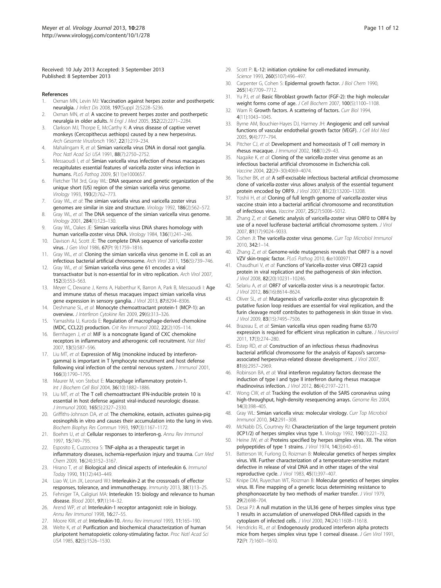<span id="page-10-0"></span>Received: 10 July 2013 Accepted: 3 September 2013 Published: 8 September 2013

#### References

- 1. Oxman MN, Levin MJ: Vaccination against herpes zoster and postherpetic neuralgia. J Infect Dis 2008, 197(Suppl 2):S228–S236.
- 2. Oxman MN, et al: A vaccine to prevent herpes zoster and postherpetic neuralgia in older adults. N Engl J Med 2005, 352(22):2271–2284.
- 3. Clarkson MJ, Thorpe E, McCarthy K: A virus disease of captive vervet monkeys (Cercopithecus aethiops) caused by a new herpesvirus. Arch Gesamte Virusforsch 1967, 22(1):219–234.
- 4. Mahalingam R, et al: Simian varicella virus DNA in dorsal root ganglia. Proc Natl Acad Sci USA 1991, 88(7):2750–2752.
- Messaoudi I, et al: Simian varicella virus infection of rhesus macaques recapitulates essential features of varicella zoster virus infection in humans. PLoS Pathog 2009, 5(11):e1000657.
- 6. Fletcher TM 3rd, Gray WL: DNA sequence and genetic organization of the unique short (US) region of the simian varicella virus genome. Virology 1993, 193(2):762–773.
- 7. Gray WL, et al: The simian varicella virus and varicella zoster virus genomes are similar in size and structure. Virology 1992, 186(2):562–572.
- 8. Gray WL, et al: The DNA sequence of the simian varicella virus genome. Virology 2001, 284(1):123–130.
- 9. Gray WL, Oakes JE: Simian varicella virus DNA shares homology with human varicella-zoster virus DNA. Virology 1984, 136(1):241–246.
- 10. Davison AJ, Scott JE: The complete DNA sequence of varicella-zoster virus. J Gen Virol 1986, 67(Pt 9):1759–1816.
- 11. Gray WL, et al: Cloning the simian varicella virus genome in E. coli as an infectious bacterial artificial chromosome. Arch Virol 2011, 156(5):739–746.
- 12. Gray WL, et al: Simian varicella virus gene 61 encodes a viral transactivator but is non-essential for in vitro replication. Arch Virol 2007, 152(3):553–563.
- 13. Meyer C, Dewane J, Kerns A, Haberthur K, Barron A, Park B, Messaoudi I: Age and immune status of rhesus macaques impact simian varicella virus gene expression in sensory ganglia. J Virol 2013, 87:8294–8306.
- 14. Deshmane SL, et al: Monocyte chemoattractant protein-1 (MCP-1): an overview. J Interferon Cytokine Res 2009, 29(6):313–326.
- 15. Yamashita U, Kuroda E: Regulation of macrophage-derived chemokine (MDC, CCL22) production. Crit Rev Immunol 2002, 22(2):105–114.
- 16. Bernhagen J, et al: MIF is a noncognate ligand of CXC chemokine receptors in inflammatory and atherogenic cell recruitment. Nat Med 2007, 13(5):587–596.
- 17. Liu MT, et al: Expression of Mig (monokine induced by interferongamma) is important in T lymphocyte recruitment and host defense following viral infection of the central nervous system. J Immunol 2001, 166(3):1790–1795.
- 18. Maurer M, von Stebut E: Macrophage inflammatory protein-1. Int J Biochem Cell Biol 2004, 36(10):1882-1886
- 19. Liu MT, et al: The T cell chemoattractant IFN-inducible protein 10 is essential in host defense against viral-induced neurologic disease. J Immunol 2000, 165(5):2327–2330.
- 20. Griffiths-Johnson DA, et al: The chemokine, eotaxin, activates guinea-pig eosinophils in vitro and causes their accumulation into the lung in vivo. Biochem Biophys Res Commun 1993, 197(3):1167–1172.
- 21. Boehm U, et al: Cellular responses to interferon-g. Annu Rev Immunol 1997, 15:749–795.
- 22. Esposito E, Cuzzocrea S: TNF-alpha as a therapeutic target in inflammatory diseases, ischemia-reperfusion injury and trauma. Curr Med Chem 2009, 16(24):3152–3167.
- 23. Hirano T, et al: Biological and clinical aspects of interleukin 6. Immunol Today 1990, 11(12):443–449.
- 24. Liao W, Lin JX, Leonard WJ: Interleukin-2 at the crossroads of effector responses, tolerance, and immunotherapy. Immunity 2013, 38(1):13–25.
- 25. Fehniger TA, Caligiuri MA: Interleukin 15: biology and relevance to human disease. Blood 2001, 97(1):14–32.
- 26. Arend WP, et al: Interleukin-1 receptor antagonist: role in biology. Annu Rev Immunol 1998, 16:27–55.
- 27. Moore KW, et al: Interleukin-10. Annu Rev Immunol 1993, 11:165-190.
- 28. Welte K, et al: Purification and biochemical characterization of human pluripotent hematopoietic colony-stimulating factor. Proc Natl Acad Sci USA 1985, 82(5):1526–1530.
- 29. Scott P: IL-12: initiation cytokine for cell-mediated immunity. Science 1993, 260(5107):496–497.
- 30. Carpenter G, Cohen S: Epidermal growth factor. J Biol Chem 1990, 265(14):7709–7712.
- 31. Yu PJ, et al: Basic fibroblast growth factor (FGF-2): the high molecular weight forms come of age. J Cell Biochem 2007, 100(5):1100–1108.
- 32. Warn R: Growth factors. A scattering of factors. Curr Biol 1994, 4(11):1043–1045.
- 33. Byrne AM, Bouchier-Hayes DJ, Harmey JH: Angiogenic and cell survival functions of vascular endothelial growth factor (VEGF). J Cell Mol Med 2005, 9(4):777–794.
- 34. Pitcher CJ, et al: Development and homeostasis of T cell memory in rhesus macaque. J Immunol 2002, 168(1):29–43.
- 35. Nagaike K, et al: Cloning of the varicella-zoster virus genome as an infectious bacterial artificial chromosome in Escherichia coli. Vaccine 2004, 22(29–30):4069–4074.
- 36. Tischer BK, et al: A self-excisable infectious bacterial artificial chromosome clone of varicella-zoster virus allows analysis of the essential tegument protein encoded by ORF9. J Virol 2007, 81(23):13200–13208.
- 37. Yoshii H, et al: Cloning of full length genome of varicella-zoster virus vaccine strain into a bacterial artificial chromosome and reconstitution of infectious virus. Vaccine 2007, 25(27):5006–5012.
- 38. Zhang Z, et al: Genetic analysis of varicella-zoster virus ORF0 to ORF4 by use of a novel luciferase bacterial artificial chromosome system. J Virol 2007, 81(17):9024–9033.
- Cohen JI: The varicella-zoster virus genome. Curr Top Microbiol Immunol 2010, 342:1–14.
- 40. Zhang Z, et al: Genome-wide mutagenesis reveals that ORF7 is a novel VZV skin-tropic factor. PLoS Pathog 2010, 6:e1000971
- 41. Chaudhuri V, et al: Functions of Varicella-zoster virus ORF23 capsid protein in viral replication and the pathogenesis of skin infection. J Virol 2008, 82(20):10231–10246.
- 42. Selariu A, et al: ORF7 of varicella-zoster virus is a neurotropic factor. J Virol 2012, 86(16):8614–8624.
- 43. Oliver SL, et al: Mutagenesis of varicella-zoster virus glycoprotein B: putative fusion loop residues are essential for viral replication, and the furin cleavage motif contributes to pathogenesis in skin tissue in vivo. J Virol 2009, 83(15):7495–7506.
- 44. Brazeau E, et al: Simian varicella virus open reading frame 63/70 expression is required for efficient virus replication in culture. J Neurovirol 2011, 17(3):274–280.
- 45. Estep RD, et al: Construction of an infectious rhesus rhadinovirus bacterial artificial chromosome for the analysis of Kaposi's sarcomaassociated herpesvirus-related disease development. J Virol 2007, 81(6):2957–2969.
- 46. Robinson BA, et al: Viral interferon regulatory factors decrease the induction of type I and type II interferon during rhesus macaque rhadinovirus infection. J Virol 2012, 86(4):2197–2211.
- 47. Wong CW, et al: Tracking the evolution of the SARS coronavirus using high-throughput, high-density resequencing arrays. Genome Res 2004, 14(3):398–405.
- Gray WL: Simian varicella virus: molecular virology. Curr Top Microbiol Immunol 2010, 342:291–308.
- 49. McNabb DS, Courtney RJ: Characterization of the large tegument protein (ICP1/2) of herpes simplex virus type 1. Virology 1992, 190(1):221–232.
- 50. Heine JW, et al: Proteins specified by herpes simplex virus. XII. The virion polypeptides of type 1 strains. J Virol 1974, 14(3):640-651.
- 51. Batterson W, Furlong D, Roizman B: Molecular genetics of herpes simplex virus. VIII. Further characterization of a temperature-sensitive mutant defective in release of viral DNA and in other stages of the viral reproductive cycle. J Virol 1983, 45(1):397-407.
- 52. Knipe DM, Ruyechan WT, Roizman B: Molecular genetics of herpes simplex virus. III. Fine mapping of a genetic locus determining resistance to phosphonoacetate by two methods of marker transfer. J Virol 1979, 29(2):698–704.
- 53. Desai PJ: A null mutation in the UL36 gene of herpes simplex virus type 1 results in accumulation of unenveloped DNA-filled capsids in the cytoplasm of infected cells. J Virol 2000, 74(24):11608–11618.
- 54. Hendricks RL, et al: Endogenously produced interferon alpha protects mice from herpes simplex virus type 1 corneal disease. J Gen Virol 1991, 72(Pt 7):1601–1610.